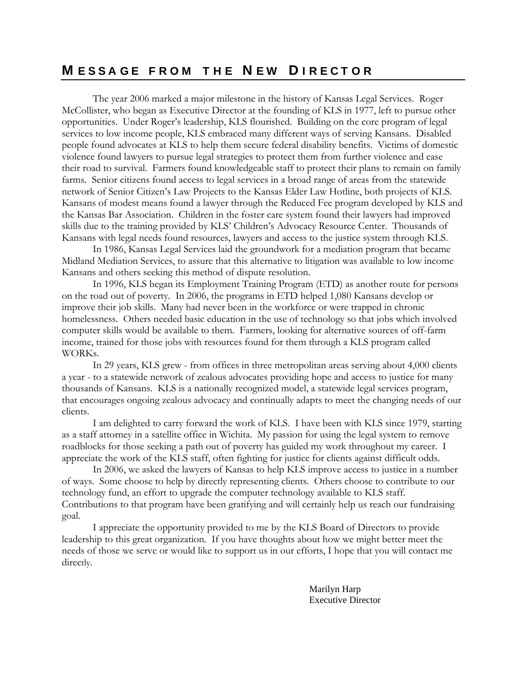### **M E S S A G E F R O M T H E N E W D I R E C T O R**

The year 2006 marked a major milestone in the history of Kansas Legal Services. Roger McCollister, who began as Executive Director at the founding of KLS in 1977, left to pursue other opportunities. Under Roger's leadership, KLS flourished. Building on the core program of legal services to low income people, KLS embraced many different ways of serving Kansans. Disabled people found advocates at KLS to help them secure federal disability benefits. Victims of domestic violence found lawyers to pursue legal strategies to protect them from further violence and ease their road to survival. Farmers found knowledgeable staff to protect their plans to remain on family farms. Senior citizens found access to legal services in a broad range of areas from the statewide network of Senior Citizen's Law Projects to the Kansas Elder Law Hotline, both projects of KLS. Kansans of modest means found a lawyer through the Reduced Fee program developed by KLS and the Kansas Bar Association. Children in the foster care system found their lawyers had improved skills due to the training provided by KLS' Children's Advocacy Resource Center. Thousands of Kansans with legal needs found resources, lawyers and access to the justice system through KLS.

In 1986, Kansas Legal Services laid the groundwork for a mediation program that became Midland Mediation Services, to assure that this alternative to litigation was available to low income Kansans and others seeking this method of dispute resolution.

In 1996, KLS began its Employment Training Program (ETD) as another route for persons on the road out of poverty. In 2006, the programs in ETD helped 1,080 Kansans develop or improve their job skills. Many had never been in the workforce or were trapped in chronic homelessness. Others needed basic education in the use of technology so that jobs which involved computer skills would be available to them. Farmers, looking for alternative sources of off-farm income, trained for those jobs with resources found for them through a KLS program called WORKs.

In 29 years, KLS grew - from offices in three metropolitan areas serving about 4,000 clients a year - to a statewide network of zealous advocates providing hope and access to justice for many thousands of Kansans. KLS is a nationally recognized model, a statewide legal services program, that encourages ongoing zealous advocacy and continually adapts to meet the changing needs of our clients.

I am delighted to carry forward the work of KLS. I have been with KLS since 1979, starting as a staff attorney in a satellite office in Wichita. My passion for using the legal system to remove roadblocks for those seeking a path out of poverty has guided my work throughout my career. I appreciate the work of the KLS staff, often fighting for justice for clients against difficult odds.

In 2006, we asked the lawyers of Kansas to help KLS improve access to justice in a number of ways. Some choose to help by directly representing clients. Others choose to contribute to our technology fund, an effort to upgrade the computer technology available to KLS staff. Contributions to that program have been gratifying and will certainly help us reach our fundraising goal.

I appreciate the opportunity provided to me by the KLS Board of Directors to provide leadership to this great organization. If you have thoughts about how we might better meet the needs of those we serve or would like to support us in our efforts, I hope that you will contact me directly.

> Marilyn Harp Executive Director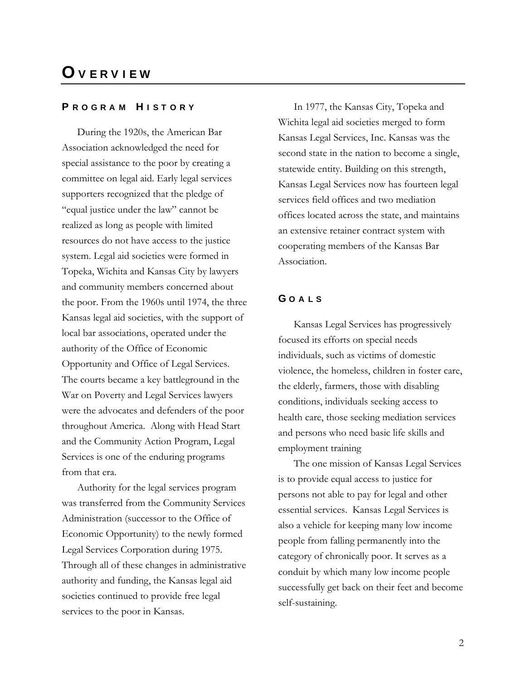## **O V E R V I E W**

### **P R O G R A M H I S T O R Y**

During the 1920s, the American Bar Association acknowledged the need for special assistance to the poor by creating a committee on legal aid. Early legal services supporters recognized that the pledge of "equal justice under the law" cannot be realized as long as people with limited resources do not have access to the justice system. Legal aid societies were formed in Topeka, Wichita and Kansas City by lawyers and community members concerned about the poor. From the 1960s until 1974, the three Kansas legal aid societies, with the support of local bar associations, operated under the authority of the Office of Economic Opportunity and Office of Legal Services. The courts became a key battleground in the War on Poverty and Legal Services lawyers were the advocates and defenders of the poor throughout America. Along with Head Start and the Community Action Program, Legal Services is one of the enduring programs from that era.

Authority for the legal services program was transferred from the Community Services Administration (successor to the Office of Economic Opportunity) to the newly formed Legal Services Corporation during 1975. Through all of these changes in administrative authority and funding, the Kansas legal aid societies continued to provide free legal services to the poor in Kansas.

In 1977, the Kansas City, Topeka and Wichita legal aid societies merged to form Kansas Legal Services, Inc. Kansas was the second state in the nation to become a single, statewide entity. Building on this strength, Kansas Legal Services now has fourteen legal services field offices and two mediation offices located across the state, and maintains an extensive retainer contract system with cooperating members of the Kansas Bar Association.

### **G O A L S**

Kansas Legal Services has progressively focused its efforts on special needs individuals, such as victims of domestic violence, the homeless, children in foster care, the elderly, farmers, those with disabling conditions, individuals seeking access to health care, those seeking mediation services and persons who need basic life skills and employment training

The one mission of Kansas Legal Services is to provide equal access to justice for persons not able to pay for legal and other essential services. Kansas Legal Services is also a vehicle for keeping many low income people from falling permanently into the category of chronically poor. It serves as a conduit by which many low income people successfully get back on their feet and become self-sustaining.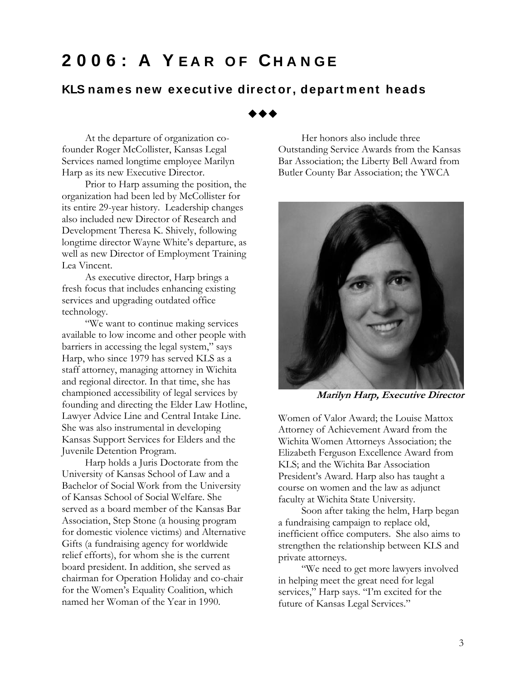# **2006: A Y E A R O F CH A N G E**

### **KLS nam es new execut ive direct or, depart m ent heads**

◆◆◆

At the departure of organization cofounder Roger McCollister, Kansas Legal Services named longtime employee Marilyn Harp as its new Executive Director.

Prior to Harp assuming the position, the organization had been led by McCollister for its entire 29-year history. Leadership changes also included new Director of Research and Development Theresa K. Shively, following longtime director Wayne White's departure, as well as new Director of Employment Training Lea Vincent.

As executive director, Harp brings a fresh focus that includes enhancing existing services and upgrading outdated office technology.

―We want to continue making services available to low income and other people with barriers in accessing the legal system," says Harp, who since 1979 has served KLS as a staff attorney, managing attorney in Wichita and regional director. In that time, she has championed accessibility of legal services by founding and directing the Elder Law Hotline, Lawyer Advice Line and Central Intake Line. She was also instrumental in developing Kansas Support Services for Elders and the Juvenile Detention Program.

Harp holds a Juris Doctorate from the University of Kansas School of Law and a Bachelor of Social Work from the University of Kansas School of Social Welfare. She served as a board member of the Kansas Bar Association, Step Stone (a housing program for domestic violence victims) and Alternative Gifts (a fundraising agency for worldwide relief efforts), for whom she is the current board president. In addition, she served as chairman for Operation Holiday and co-chair for the Women's Equality Coalition, which named her Woman of the Year in 1990.

Her honors also include three Outstanding Service Awards from the Kansas Bar Association; the Liberty Bell Award from Butler County Bar Association; the YWCA



**Marilyn Harp, Executive Director**

Women of Valor Award; the Louise Mattox Attorney of Achievement Award from the Wichita Women Attorneys Association; the Elizabeth Ferguson Excellence Award from KLS; and the Wichita Bar Association President's Award. Harp also has taught a course on women and the law as adjunct faculty at Wichita State University.

Soon after taking the helm, Harp began a fundraising campaign to replace old, inefficient office computers. She also aims to strengthen the relationship between KLS and private attorneys.

"We need to get more lawyers involved in helping meet the great need for legal services," Harp says. "I'm excited for the future of Kansas Legal Services."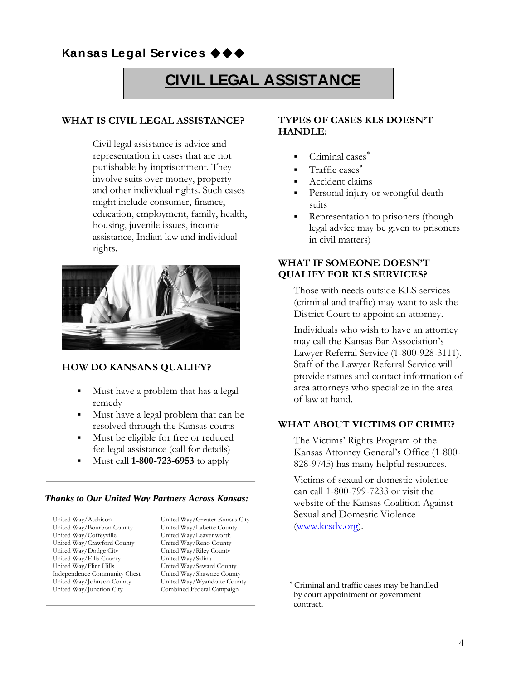### **Kansas Legal Services**

# **CIVIL LEGAL ASSISTANCE**

### **WHAT IS CIVIL LEGAL ASSISTANCE?**

Civil legal assistance is advice and representation in cases that are not punishable by imprisonment. They involve suits over money, property and other individual rights. Such cases might include consumer, finance, education, employment, family, health, housing, juvenile issues, income assistance, Indian law and individual rights.



### **HOW DO KANSANS QUALIFY?**

- Must have a problem that has a legal remedy
- Must have a legal problem that can be resolved through the Kansas courts
- Must be eligible for free or reduced fee legal assistance (call for details)
- Must call **1-800-723-6953** to apply

### *Thanks to Our United Way Partners Across Kansas:*

United Way/Atchison United Way/Bourbon County United Way/Coffeyville United Way/Crawford County United Way/Dodge City United Way/Ellis County United Way/Flint Hills Independence Community Chest United Way/Johnson County United Way/Junction City

United Way/Greater Kansas City United Way/Labette County United Way/Leavenworth United Way/Reno County United Way/Riley County United Way/Salina United Way/Seward County United Way/Shawnee County United Way/Wyandotte County Combined Federal Campaign

### **TYPES OF CASES KLS DOESN'T HANDLE:**

- Criminal cases
- **Traffic cases**\*
- Accident claims
- Personal injury or wrongful death suits
- Representation to prisoners (though legal advice may be given to prisoners in civil matters)

### **WHAT IF SOMEONE DOESN'T QUALIFY FOR KLS SERVICES?**

Those with needs outside KLS services (criminal and traffic) may want to ask the District Court to appoint an attorney.

Individuals who wish to have an attorney may call the Kansas Bar Association's Lawyer Referral Service (1-800-928-3111). Staff of the Lawyer Referral Service will provide names and contact information of area attorneys who specialize in the area of law at hand.

### **WHAT ABOUT VICTIMS OF CRIME?**

The Victims' Rights Program of the Kansas Attorney General's Office (1-800- 828-9745) has many helpful resources.

Victims of sexual or domestic violence can call 1-800-799-7233 or visit the website of the Kansas Coalition Against Sexual and Domestic Violence [\(www.kcsdv.org\)](http://www.kcsdv.org/).

Criminal and traffic cases may be handled by court appointment or government contract.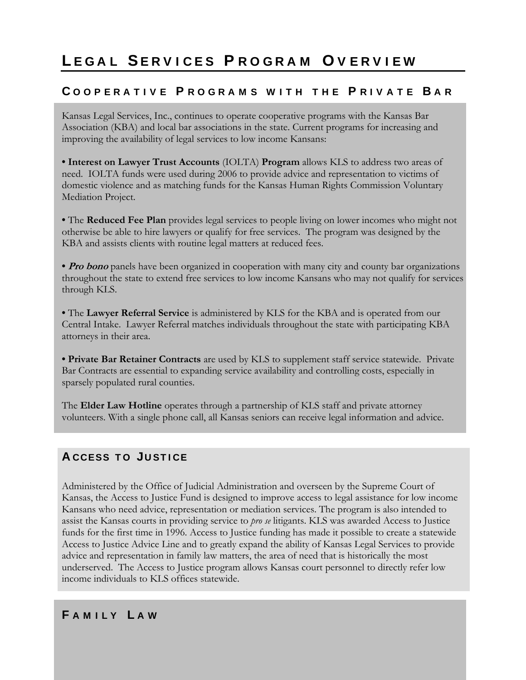# **L E G A L SE R V I C E S P R O G R A M O V E R V I E W**

### **C O O P E R A T I V E P R O G R A M S W I T H T H E P R I V A T E B A R**

Kansas Legal Services, Inc., continues to operate cooperative programs with the Kansas Bar Association (KBA) and local bar associations in the state. Current programs for increasing and improving the availability of legal services to low income Kansans:

**• Interest on Lawyer Trust Accounts** (IOLTA) **Program** allows KLS to address two areas of need. IOLTA funds were used during 2006 to provide advice and representation to victims of domestic violence and as matching funds for the Kansas Human Rights Commission Voluntary Mediation Project.

**•** The **Reduced Fee Plan** provides legal services to people living on lower incomes who might not otherwise be able to hire lawyers or qualify for free services. The program was designed by the KBA and assists clients with routine legal matters at reduced fees.

• **Pro bono** panels have been organized in cooperation with many city and county bar organizations throughout the state to extend free services to low income Kansans who may not qualify for services through KLS.

**•** The **Lawyer Referral Service** is administered by KLS for the KBA and is operated from our Central Intake. Lawyer Referral matches individuals throughout the state with participating KBA attorneys in their area.

**• Private Bar Retainer Contracts** are used by KLS to supplement staff service statewide.Private Bar Contracts are essential to expanding service availability and controlling costs, especially in sparsely populated rural counties.

The **Elder Law Hotline** operates through a partnership of KLS staff and private attorney volunteers. With a single phone call, all Kansas seniors can receive legal information and advice.

## **A CCESS T O JU ST I CE**

Administered by the Office of Judicial Administration and overseen by the Supreme Court of Kansas, the Access to Justice Fund is designed to improve access to legal assistance for low income Kansans who need advice, representation or mediation services. The program is also intended to assist the Kansas courts in providing service to *pro se* litigants. KLS was awarded Access to Justice funds for the first time in 1996. Access to Justice funding has made it possible to create a statewide Access to Justice Advice Line and to greatly expand the ability of Kansas Legal Services to provide advice and representation in family law matters, the area of need that is historically the most underserved. The Access to Justice program allows Kansas court personnel to directly refer low income individuals to KLS offices statewide.

### **F A M I L Y L A W**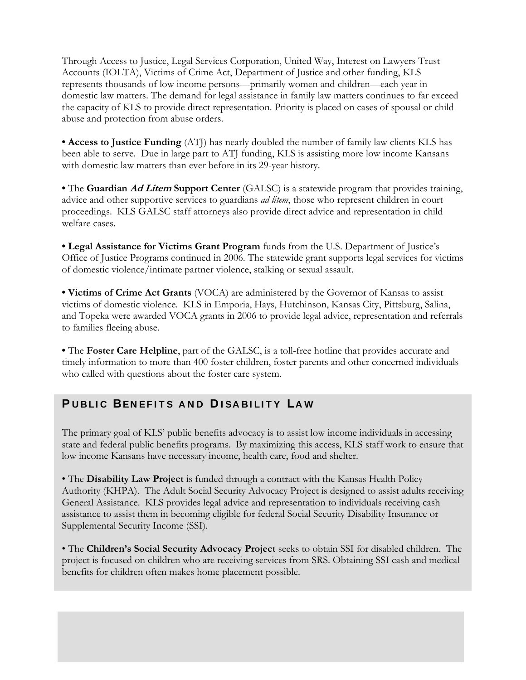Through Access to Justice, Legal Services Corporation, United Way, Interest on Lawyers Trust Accounts (IOLTA), Victims of Crime Act, Department of Justice and other funding, KLS represents thousands of low income persons—primarily women and children—each year in domestic law matters. The demand for legal assistance in family law matters continues to far exceed the capacity of KLS to provide direct representation. Priority is placed on cases of spousal or child abuse and protection from abuse orders.

**• Access to Justice Funding** (ATJ) has nearly doubled the number of family law clients KLS has been able to serve. Due in large part to ATJ funding, KLS is assisting more low income Kansans with domestic law matters than ever before in its 29-year history.

**•** The **Guardian Ad Litem Support Center** (GALSC) is a statewide program that provides training, advice and other supportive services to guardians *ad litem*, those who represent children in court proceedings. KLS GALSC staff attorneys also provide direct advice and representation in child welfare cases.

**• Legal Assistance for Victims Grant Program** funds from the U.S. Department of Justice's Office of Justice Programs continued in 2006. The statewide grant supports legal services for victims of domestic violence/intimate partner violence, stalking or sexual assault.

**• Victims of Crime Act Grants** (VOCA) are administered by the Governor of Kansas to assist victims of domestic violence. KLS in Emporia, Hays, Hutchinson, Kansas City, Pittsburg, Salina, and Topeka were awarded VOCA grants in 2006 to provide legal advice, representation and referrals to families fleeing abuse.

**•** The **Foster Care Helpline**, part of the GALSC, is a toll-free hotline that provides accurate and timely information to more than 400 foster children, foster parents and other concerned individuals who called with questions about the foster care system.

### **P U B LI C BEN EF I T S A N D D I SA B I LI T Y LA W**

The primary goal of KLS' public benefits advocacy is to assist low income individuals in accessing state and federal public benefits programs. By maximizing this access, KLS staff work to ensure that low income Kansans have necessary income, health care, food and shelter.

• The **Disability Law Project** is funded through a contract with the Kansas Health Policy Authority (KHPA). The Adult Social Security Advocacy Project is designed to assist adults receiving General Assistance. KLS provides legal advice and representation to individuals receiving cash assistance to assist them in becoming eligible for federal Social Security Disability Insurance or Supplemental Security Income (SSI).

• The **Children's Social Security Advocacy Project** seeks to obtain SSI for disabled children. The project is focused on children who are receiving services from SRS. Obtaining SSI cash and medical benefits for children often makes home placement possible.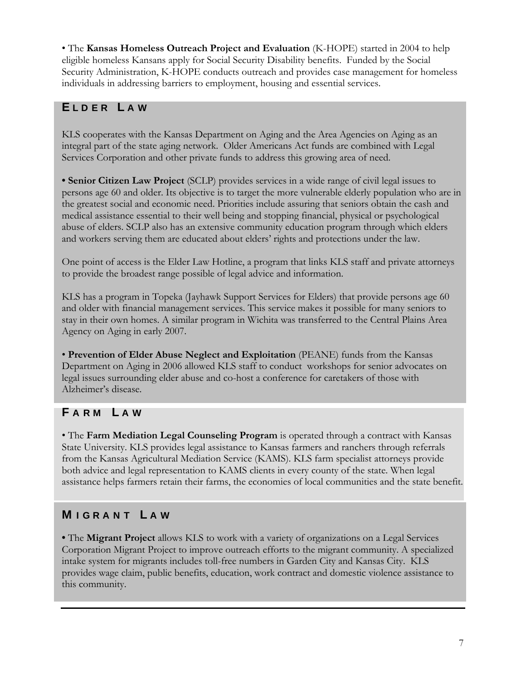• The **Kansas Homeless Outreach Project and Evaluation** (K-HOPE) started in 2004 to help eligible homeless Kansans apply for Social Security Disability benefits. Funded by the Social Security Administration, K-HOPE conducts outreach and provides case management for homeless individuals in addressing barriers to employment, housing and essential services.

### **E L D E R L A W**

KLS cooperates with the Kansas Department on Aging and the Area Agencies on Aging as an integral part of the state aging network. Older Americans Act funds are combined with Legal Services Corporation and other private funds to address this growing area of need.

**• Senior Citizen Law Project** (SCLP) provides services in a wide range of civil legal issues to persons age 60 and older. Its objective is to target the more vulnerable elderly population who are in the greatest social and economic need. Priorities include assuring that seniors obtain the cash and medical assistance essential to their well being and stopping financial, physical or psychological abuse of elders. SCLP also has an extensive community education program through which elders and workers serving them are educated about elders' rights and protections under the law.

One point of access is the Elder Law Hotline, a program that links KLS staff and private attorneys to provide the broadest range possible of legal advice and information.

KLS has a program in Topeka (Jayhawk Support Services for Elders) that provide persons age 60 and older with financial management services. This service makes it possible for many seniors to stay in their own homes. A similar program in Wichita was transferred to the Central Plains Area Agency on Aging in early 2007.

• **Prevention of Elder Abuse Neglect and Exploitation** (PEANE) funds from the Kansas Department on Aging in 2006 allowed KLS staff to conduct workshops for senior advocates on legal issues surrounding elder abuse and co-host a conference for caretakers of those with Alzheimer's disease.

### **F A R M L A W**

• The **Farm Mediation Legal Counseling Program** is operated through a contract with Kansas State University. KLS provides legal assistance to Kansas farmers and ranchers through referrals from the Kansas Agricultural Mediation Service (KAMS). KLS farm specialist attorneys provide both advice and legal representation to KAMS clients in every county of the state. When legal assistance helps farmers retain their farms, the economies of local communities and the state benefit.

### **M I G R A N T L A W**

**•** The **Migrant Project** allows KLS to work with a variety of organizations on a Legal Services Corporation Migrant Project to improve outreach efforts to the migrant community. A specialized intake system for migrants includes toll-free numbers in Garden City and Kansas City. KLS provides wage claim, public benefits, education, work contract and domestic violence assistance to this community.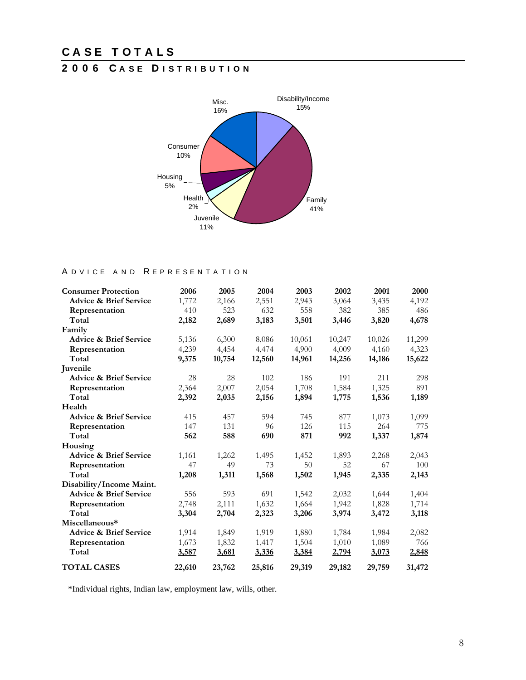## **2 0 0 6 C A S E D I S T R I B U T I O N**



### A D V I C E A N D R E P R E S E N T A T I O N

| <b>Consumer Protection</b>        | 2006   | 2005   | 2004   | 2003   | 2002   | 2001   | 2000   |
|-----------------------------------|--------|--------|--------|--------|--------|--------|--------|
| <b>Advice &amp; Brief Service</b> | 1,772  | 2,166  | 2,551  | 2,943  | 3,064  | 3,435  | 4,192  |
| Representation                    | 410    | 523    | 632    | 558    | 382    | 385    | 486    |
| Total                             | 2,182  | 2,689  | 3,183  | 3,501  | 3,446  | 3,820  | 4,678  |
| Family                            |        |        |        |        |        |        |        |
| <b>Advice &amp; Brief Service</b> | 5,136  | 6,300  | 8,086  | 10,061 | 10,247 | 10,026 | 11,299 |
| Representation                    | 4,239  | 4,454  | 4,474  | 4,900  | 4,009  | 4,160  | 4,323  |
| Total                             | 9,375  | 10,754 | 12,560 | 14,961 | 14,256 | 14,186 | 15,622 |
| Juvenile                          |        |        |        |        |        |        |        |
| <b>Advice &amp; Brief Service</b> | 28     | 28     | 102    | 186    | 191    | 211    | 298    |
| Representation                    | 2,364  | 2,007  | 2,054  | 1,708  | 1,584  | 1,325  | 891    |
| Total                             | 2,392  | 2,035  | 2,156  | 1,894  | 1,775  | 1,536  | 1,189  |
| Health                            |        |        |        |        |        |        |        |
| <b>Advice &amp; Brief Service</b> | 415    | 457    | 594    | 745    | 877    | 1,073  | 1,099  |
| Representation                    | 147    | 131    | 96     | 126    | 115    | 264    | 775    |
| Total                             | 562    | 588    | 690    | 871    | 992    | 1,337  | 1,874  |
| Housing                           |        |        |        |        |        |        |        |
| <b>Advice &amp; Brief Service</b> | 1,161  | 1,262  | 1,495  | 1,452  | 1,893  | 2,268  | 2,043  |
| Representation                    | 47     | 49     | 73     | 50     | 52     | 67     | 100    |
| Total                             | 1,208  | 1,311  | 1,568  | 1,502  | 1,945  | 2,335  | 2,143  |
| Disability/Income Maint.          |        |        |        |        |        |        |        |
| <b>Advice &amp; Brief Service</b> | 556    | 593    | 691    | 1,542  | 2,032  | 1,644  | 1,404  |
| Representation                    | 2,748  | 2,111  | 1,632  | 1,664  | 1,942  | 1,828  | 1,714  |
| Total                             | 3,304  | 2,704  | 2,323  | 3,206  | 3,974  | 3,472  | 3,118  |
| Miscellaneous*                    |        |        |        |        |        |        |        |
| <b>Advice &amp; Brief Service</b> | 1,914  | 1,849  | 1,919  | 1,880  | 1,784  | 1,984  | 2,082  |
| Representation                    | 1,673  | 1,832  | 1,417  | 1,504  | 1,010  | 1,089  | 766    |
| Total                             | 3,587  | 3,681  | 3,336  | 3,384  | 2,794  | 3,073  | 2,848  |
| <b>TOTAL CASES</b>                | 22,610 | 23,762 | 25,816 | 29,319 | 29,182 | 29,759 | 31,472 |

\*Individual rights, Indian law, employment law, wills, other.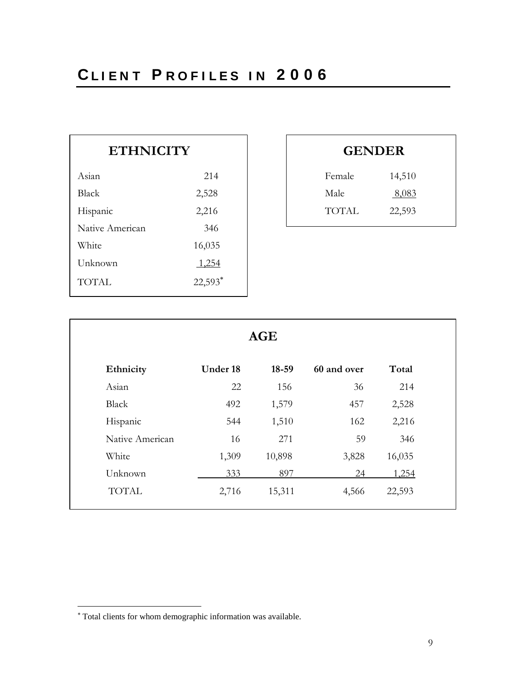| <b>ETHNICITY</b> |         |              | <b>GENDER</b> |
|------------------|---------|--------------|---------------|
| Asian            | 214     | Female       | 14,510        |
| Black            | 2,528   | Male         | 8,083         |
| Hispanic         | 2,216   | <b>TOTAL</b> | 22,593        |
| Native American  | 346     |              |               |
| White            | 16,035  |              |               |
| Unknown          | 1,254   |              |               |
| <b>TOTAL</b>     | 22,593* |              |               |
|                  |         |              |               |

| <b>GENDER</b> |              |  |  |  |
|---------------|--------------|--|--|--|
| Female        | 14,510       |  |  |  |
| Male          | <u>8,083</u> |  |  |  |
| TOTAL         | 22,593       |  |  |  |
|               |              |  |  |  |

| <b>AGE</b>      |          |           |             |        |
|-----------------|----------|-----------|-------------|--------|
| Ethnicity       | Under 18 | $18 - 59$ | 60 and over | Total  |
| Asian           | 22       | 156       | 36          | 214    |
| Black           | 492      | 1,579     | 457         | 2,528  |
| Hispanic        | 544      | 1,510     | 162         | 2,216  |
| Native American | 16       | 271       | 59          | 346    |
| White           | 1,309    | 10,898    | 3,828       | 16,035 |
| Unknown         | 333      | 897       | 24          | 1,254  |
| <b>TOTAL</b>    | 2,716    | 15,311    | 4,566       | 22,593 |

 $\overline{a}$ 

Total clients for whom demographic information was available.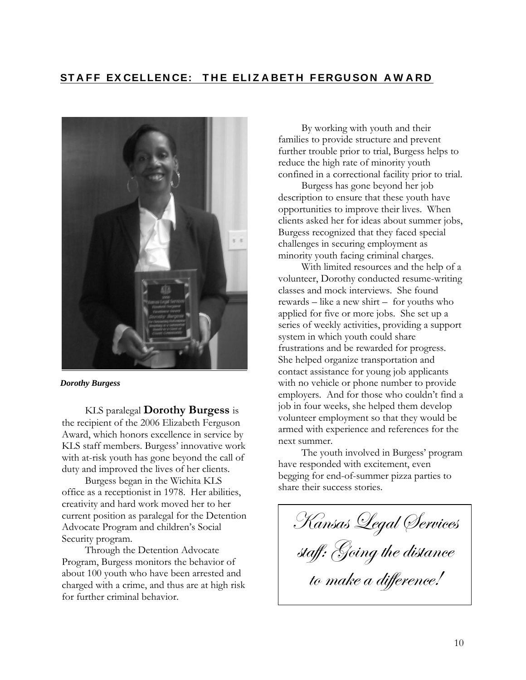## **ST A F F EX CELLEN CE: T H E ELI Z A BET H F ERGU SO N A W A RD**



*Dorothy Burgess*

KLS paralegal **Dorothy Burgess** is the recipient of the 2006 Elizabeth Ferguson Award, which honors excellence in service by KLS staff members. Burgess' innovative work with at-risk youth has gone beyond the call of duty and improved the lives of her clients.

Burgess began in the Wichita KLS office as a receptionist in 1978. Her abilities, creativity and hard work moved her to her current position as paralegal for the Detention Advocate Program and children's Social Security program.

Through the Detention Advocate Program, Burgess monitors the behavior of about 100 youth who have been arrested and charged with a crime, and thus are at high risk for further criminal behavior.

By working with youth and their families to provide structure and prevent further trouble prior to trial, Burgess helps to reduce the high rate of minority youth confined in a correctional facility prior to trial.

Burgess has gone beyond her job description to ensure that these youth have opportunities to improve their lives. When clients asked her for ideas about summer jobs, Burgess recognized that they faced special challenges in securing employment as minority youth facing criminal charges.

With limited resources and the help of a volunteer, Dorothy conducted resume-writing classes and mock interviews. She found rewards – like a new shirt – for youths who applied for five or more jobs. She set up a series of weekly activities, providing a support system in which youth could share frustrations and be rewarded for progress. She helped organize transportation and contact assistance for young job applicants with no vehicle or phone number to provide employers. And for those who couldn't find a job in four weeks, she helped them develop volunteer employment so that they would be armed with experience and references for the next summer.

The youth involved in Burgess' program have responded with excitement, even begging for end-of-summer pizza parties to share their success stories.

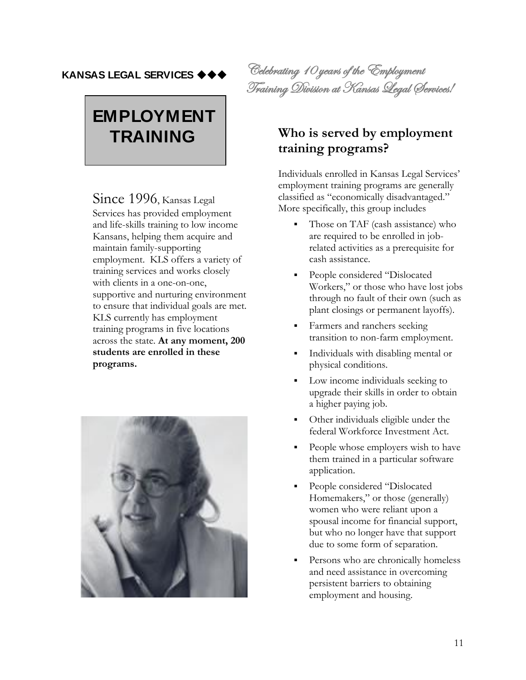### **KANSAS LEGAL SERVICES**

# **EMPLOYMENT TRAINING**

Since 1996, Kansas Legal Services has provided employment and life-skills training to low income Kansans, helping them acquire and maintain family-supporting employment. KLS offers a variety of training services and works closely with clients in a one-on-one, supportive and nurturing environment to ensure that individual goals are met. KLS currently has employment training programs in five locations across the state. **At any moment, 200 students are enrolled in these programs.**



Celebrating 10 years of the Employment Training Division at Kansas Legal Services!

### **Who is served by employment training programs?**

Individuals enrolled in Kansas Legal Services' employment training programs are generally classified as "economically disadvantaged." More specifically, this group includes

- Those on TAF (cash assistance) who are required to be enrolled in jobrelated activities as a prerequisite for cash assistance.
- People considered "Dislocated" Workers," or those who have lost jobs through no fault of their own (such as plant closings or permanent layoffs).
- Farmers and ranchers seeking transition to non-farm employment.
- Individuals with disabling mental or physical conditions.
- Low income individuals seeking to upgrade their skills in order to obtain a higher paying job.
- Other individuals eligible under the federal Workforce Investment Act.
- People whose employers wish to have them trained in a particular software application.
- People considered "Dislocated" Homemakers," or those (generally) women who were reliant upon a spousal income for financial support, but who no longer have that support due to some form of separation.
- Persons who are chronically homeless and need assistance in overcoming persistent barriers to obtaining employment and housing.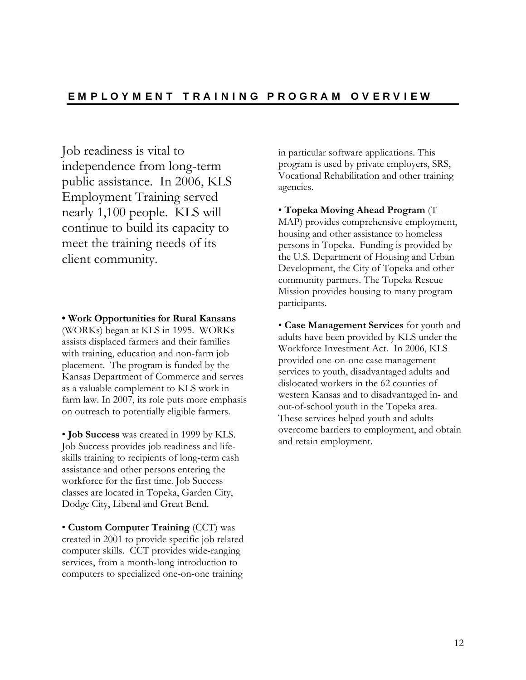Job readiness is vital to independence from long-term public assistance. In 2006, KLS Employment Training served nearly 1,100 people. KLS will continue to build its capacity to meet the training needs of its client community.

**• Work Opportunities for Rural Kansans** (WORKs) began at KLS in 1995. WORKs assists displaced farmers and their families with training, education and non-farm job placement. The program is funded by the Kansas Department of Commerce and serves as a valuable complement to KLS work in farm law. In 2007, its role puts more emphasis on outreach to potentially eligible farmers.

• **Job Success** was created in 1999 by KLS. Job Success provides job readiness and lifeskills training to recipients of long-term cash assistance and other persons entering the workforce for the first time. Job Success classes are located in Topeka, Garden City, Dodge City, Liberal and Great Bend.

• **Custom Computer Training** (CCT) was created in 2001 to provide specific job related computer skills. CCT provides wide-ranging services, from a month-long introduction to computers to specialized one-on-one training

in particular software applications. This program is used by private employers, SRS, Vocational Rehabilitation and other training agencies.

• **Topeka Moving Ahead Program** (T-MAP) provides comprehensive employment, housing and other assistance to homeless persons in Topeka. Funding is provided by the U.S. Department of Housing and Urban Development, the City of Topeka and other community partners. The Topeka Rescue Mission provides housing to many program participants.

• **Case Management Services** for youth and adults have been provided by KLS under the Workforce Investment Act. In 2006, KLS provided one-on-one case management services to youth, disadvantaged adults and dislocated workers in the 62 counties of western Kansas and to disadvantaged in- and out-of-school youth in the Topeka area. These services helped youth and adults overcome barriers to employment, and obtain and retain employment.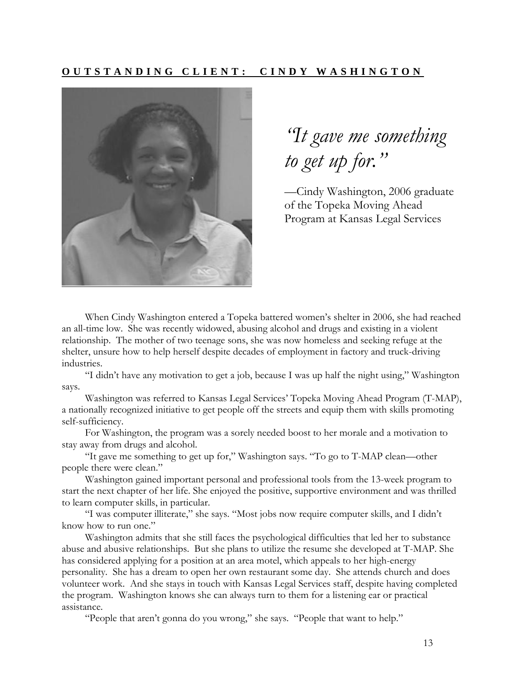### **O U T S T A N D I N G C L I E N T : C I N D Y W A S H I N G T O N**



*"It gave me something to get up for."*

—Cindy Washington, 2006 graduate of the Topeka Moving Ahead Program at Kansas Legal Services

When Cindy Washington entered a Topeka battered women's shelter in 2006, she had reached an all-time low. She was recently widowed, abusing alcohol and drugs and existing in a violent relationship. The mother of two teenage sons, she was now homeless and seeking refuge at the shelter, unsure how to help herself despite decades of employment in factory and truck-driving industries.

"I didn't have any motivation to get a job, because I was up half the night using," Washington says.

Washington was referred to Kansas Legal Services' Topeka Moving Ahead Program (T-MAP), a nationally recognized initiative to get people off the streets and equip them with skills promoting self-sufficiency.

For Washington, the program was a sorely needed boost to her morale and a motivation to stay away from drugs and alcohol.

"It gave me something to get up for," Washington says. "To go to T-MAP clean—other people there were clean."

Washington gained important personal and professional tools from the 13-week program to start the next chapter of her life. She enjoyed the positive, supportive environment and was thrilled to learn computer skills, in particular.

"I was computer illiterate," she says. "Most jobs now require computer skills, and I didn't know how to run one."

Washington admits that she still faces the psychological difficulties that led her to substance abuse and abusive relationships. But she plans to utilize the resume she developed at T-MAP. She has considered applying for a position at an area motel, which appeals to her high-energy personality. She has a dream to open her own restaurant some day. She attends church and does volunteer work. And she stays in touch with Kansas Legal Services staff, despite having completed the program. Washington knows she can always turn to them for a listening ear or practical assistance.

"People that aren't gonna do you wrong," she says. "People that want to help."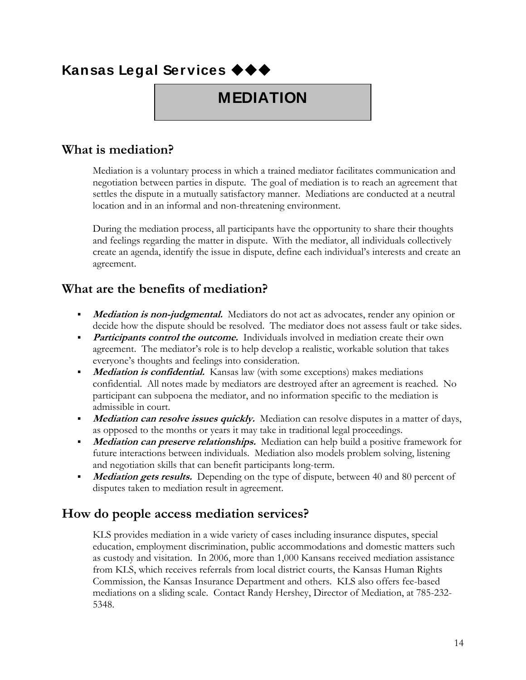# **Kansas Legal Services**

# **MEDIATION**

### **What is mediation?**

Mediation is a voluntary process in which a trained mediator facilitates communication and negotiation between parties in dispute. The goal of mediation is to reach an agreement that settles the dispute in a mutually satisfactory manner. Mediations are conducted at a neutral location and in an informal and non-threatening environment.

During the mediation process, all participants have the opportunity to share their thoughts and feelings regarding the matter in dispute. With the mediator, all individuals collectively create an agenda, identify the issue in dispute, define each individual's interests and create an agreement.

### **What are the benefits of mediation?**

- **Mediation is non-judgmental.** Mediators do not act as advocates, render any opinion or decide how the dispute should be resolved. The mediator does not assess fault or take sides.
- **Participants control the outcome.** Individuals involved in mediation create their own agreement. The mediator's role is to help develop a realistic, workable solution that takes everyone's thoughts and feelings into consideration.
- **Mediation is confidential.** Kansas law (with some exceptions) makes mediations confidential. All notes made by mediators are destroyed after an agreement is reached. No participant can subpoena the mediator, and no information specific to the mediation is admissible in court.
- **Mediation can resolve issues quickly.** Mediation can resolve disputes in a matter of days, as opposed to the months or years it may take in traditional legal proceedings.
- **Mediation can preserve relationships.** Mediation can help build a positive framework for future interactions between individuals. Mediation also models problem solving, listening and negotiation skills that can benefit participants long-term.
- **Mediation gets results.** Depending on the type of dispute, between 40 and 80 percent of disputes taken to mediation result in agreement.

### **How do people access mediation services?**

KLS provides mediation in a wide variety of cases including insurance disputes, special education, employment discrimination, public accommodations and domestic matters such as custody and visitation. In 2006, more than 1,000 Kansans received mediation assistance from KLS, which receives referrals from local district courts, the Kansas Human Rights Commission, the Kansas Insurance Department and others. KLS also offers fee-based mediations on a sliding scale. Contact Randy Hershey, Director of Mediation, at 785-232- 5348.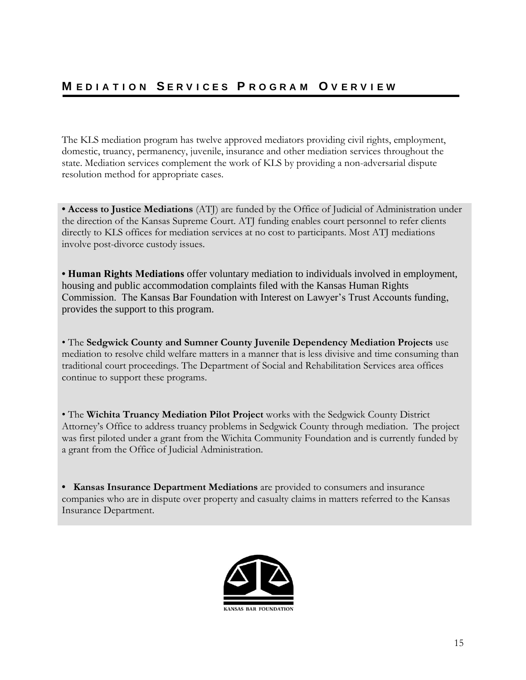The KLS mediation program has twelve approved mediators providing civil rights, employment, domestic, truancy, permanency, juvenile, insurance and other mediation services throughout the state. Mediation services complement the work of KLS by providing a non-adversarial dispute resolution method for appropriate cases.

**• Access to Justice Mediations** (ATJ) are funded by the Office of Judicial of Administration under the direction of the Kansas Supreme Court. ATJ funding enables court personnel to refer clients directly to KLS offices for mediation services at no cost to participants. Most ATJ mediations involve post-divorce custody issues.

**• Human Rights Mediations** offer voluntary mediation to individuals involved in employment, housing and public accommodation complaints filed with the Kansas Human Rights Commission. The Kansas Bar Foundation with Interest on Lawyer's Trust Accounts funding, provides the support to this program.

• The **Sedgwick County and Sumner County Juvenile Dependency Mediation Projects** use mediation to resolve child welfare matters in a manner that is less divisive and time consuming than traditional court proceedings. The Department of Social and Rehabilitation Services area offices continue to support these programs.

• The **Wichita Truancy Mediation Pilot Project** works with the Sedgwick County District Attorney's Office to address truancy problems in Sedgwick County through mediation. The project was first piloted under a grant from the Wichita Community Foundation and is currently funded by a grant from the Office of Judicial Administration.

**• Kansas Insurance Department Mediations** are provided to consumers and insurance companies who are in dispute over property and casualty claims in matters referred to the Kansas Insurance Department.

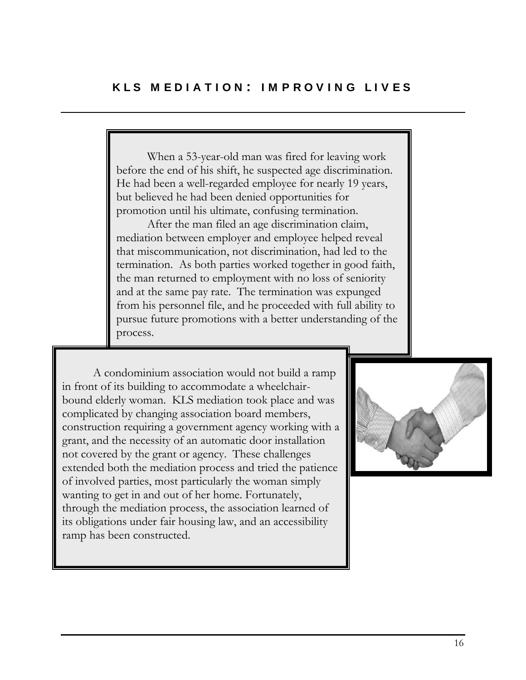When a 53-year-old man was fired for leaving work before the end of his shift, he suspected age discrimination. He had been a well-regarded employee for nearly 19 years, but believed he had been denied opportunities for promotion until his ultimate, confusing termination.

After the man filed an age discrimination claim, mediation between employer and employee helped reveal that miscommunication, not discrimination, had led to the termination. As both parties worked together in good faith, the man returned to employment with no loss of seniority and at the same pay rate. The termination was expunged from his personnel file, and he proceeded with full ability to pursue future promotions with a better understanding of the process.

A condominium association would not build a ramp in front of its building to accommodate a wheelchairbound elderly woman. KLS mediation took place and was complicated by changing association board members, construction requiring a government agency working with a grant, and the necessity of an automatic door installation not covered by the grant or agency. These challenges extended both the mediation process and tried the patience of involved parties, most particularly the woman simply wanting to get in and out of her home. Fortunately, through the mediation process, the association learned of its obligations under fair housing law, and an accessibility ramp has been constructed.

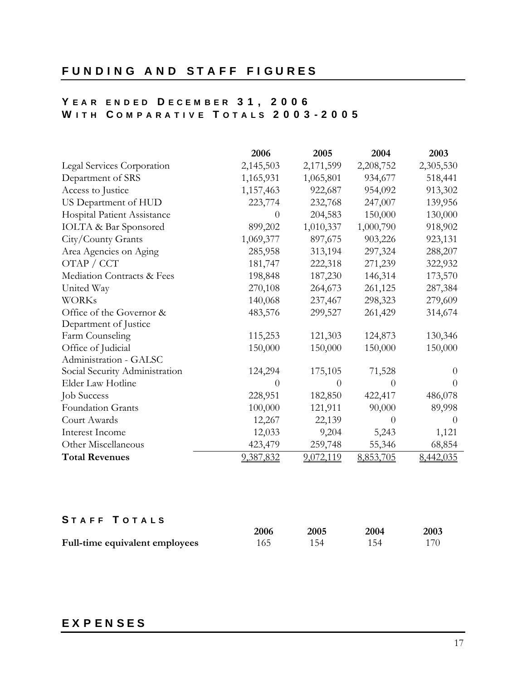### **F U N D I N G A N D S T A F F F I G U R E S**

### **Y E A R E N D E D D E C E M B E R 3 1 , 2 0 0 6 W I T H C O M P A R A T I V E T O T A L S 2 0 0 3 - 2 0 0 5**

|                                   | 2006           | 2005      | 2004      | 2003      |
|-----------------------------------|----------------|-----------|-----------|-----------|
| <b>Legal Services Corporation</b> | 2,145,503      | 2,171,599 | 2,208,752 | 2,305,530 |
| Department of SRS                 | 1,165,931      | 1,065,801 | 934,677   | 518,441   |
| Access to Justice                 | 1,157,463      | 922,687   | 954,092   | 913,302   |
| US Department of HUD              | 223,774        | 232,768   | 247,007   | 139,956   |
| Hospital Patient Assistance       | $\overline{0}$ | 204,583   | 150,000   | 130,000   |
| <b>IOLTA &amp; Bar Sponsored</b>  | 899,202        | 1,010,337 | 1,000,790 | 918,902   |
| City/County Grants                | 1,069,377      | 897,675   | 903,226   | 923,131   |
| Area Agencies on Aging            | 285,958        | 313,194   | 297,324   | 288,207   |
| OTAP / CCT                        | 181,747        | 222,318   | 271,239   | 322,932   |
| Mediation Contracts & Fees        | 198,848        | 187,230   | 146,314   | 173,570   |
| United Way                        | 270,108        | 264,673   | 261,125   | 287,384   |
| <b>WORKs</b>                      | 140,068        | 237,467   | 298,323   | 279,609   |
| Office of the Governor &          | 483,576        | 299,527   | 261,429   | 314,674   |
| Department of Justice             |                |           |           |           |
| Farm Counseling                   | 115,253        | 121,303   | 124,873   | 130,346   |
| Office of Judicial                | 150,000        | 150,000   | 150,000   | 150,000   |
| Administration - GALSC            |                |           |           |           |
| Social Security Administration    | 124,294        | 175,105   | 71,528    | $\Omega$  |
| Elder Law Hotline                 | 0              | $\theta$  | $\theta$  | $\theta$  |
| <b>Job Success</b>                | 228,951        | 182,850   | 422,417   | 486,078   |
| Foundation Grants                 | 100,000        | 121,911   | 90,000    | 89,998    |
| Court Awards                      | 12,267         | 22,139    | $\Omega$  | $\Omega$  |
| Interest Income                   | 12,033         | 9,204     | 5,243     | 1,121     |
| Other Miscellaneous               | 423,479        | 259,748   | 55,346    | 68,854    |
| <b>Total Revenues</b>             | 9,387,832      | 9,072,119 | 8,853,705 | 8,442,035 |

### **S T A F F T O T A L S**

|                                | 2006 | 2005 | 2004 | 2003 |
|--------------------------------|------|------|------|------|
| Full-time equivalent employees | 165  | 154  | 154  | 170- |

### **E X P E N S E S**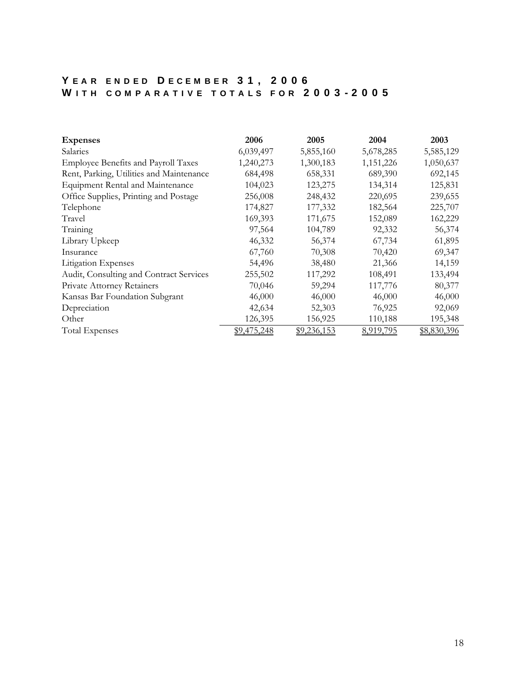### **Y E A R E N D E D D E C E M B E R 3 1 , 2 0 0 6 W I T H C O M P A R A T I V E T O T A L S F O R 2 0 0 3 - 2 0 0 5**

| <b>Expenses</b>                            | 2006        | 2005        | 2004      | 2003        |
|--------------------------------------------|-------------|-------------|-----------|-------------|
| Salaries                                   | 6,039,497   | 5,855,160   | 5,678,285 | 5,585,129   |
| <b>Employee Benefits and Payroll Taxes</b> | 1,240,273   | 1,300,183   | 1,151,226 | 1,050,637   |
| Rent, Parking, Utilities and Maintenance   | 684,498     | 658,331     | 689,390   | 692,145     |
| Equipment Rental and Maintenance           | 104,023     | 123,275     | 134,314   | 125,831     |
| Office Supplies, Printing and Postage      | 256,008     | 248,432     | 220,695   | 239,655     |
| Telephone                                  | 174,827     | 177,332     | 182,564   | 225,707     |
| Travel                                     | 169,393     | 171,675     | 152,089   | 162,229     |
| Training                                   | 97,564      | 104,789     | 92,332    | 56,374      |
| Library Upkeep                             | 46,332      | 56,374      | 67,734    | 61,895      |
| Insurance                                  | 67,760      | 70,308      | 70,420    | 69,347      |
| <b>Litigation Expenses</b>                 | 54,496      | 38,480      | 21,366    | 14,159      |
| Audit, Consulting and Contract Services    | 255,502     | 117,292     | 108,491   | 133,494     |
| Private Attorney Retainers                 | 70,046      | 59,294      | 117,776   | 80,377      |
| Kansas Bar Foundation Subgrant             | 46,000      | 46,000      | 46,000    | 46,000      |
| Depreciation                               | 42,634      | 52,303      | 76,925    | 92,069      |
| Other                                      | 126,395     | 156,925     | 110,188   | 195,348     |
| <b>Total Expenses</b>                      | \$9,475,248 | \$9,236,153 | 8,919,795 | \$8,830,396 |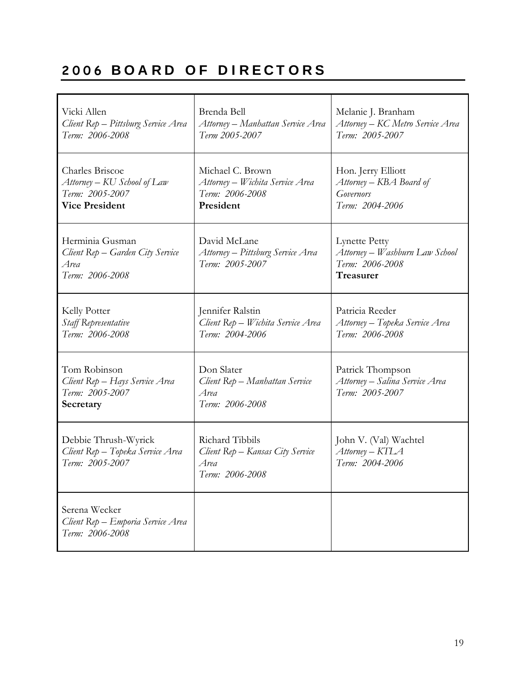# **2006 B O A R D O F D I R E C T O R S**

| Vicki Allen<br>Client Rep - Pittsburg Service Area<br>Term: 2006-2008                             | Brenda Bell<br>Attorney – Manhattan Service Area<br>Term 2005-2007                  | Melanie J. Branham<br>Attorney – KC Metro Service Area<br>Term: 2005-2007              |
|---------------------------------------------------------------------------------------------------|-------------------------------------------------------------------------------------|----------------------------------------------------------------------------------------|
| <b>Charles Briscoe</b><br>Attorney – KU School of Law<br>Term: 2005-2007<br><b>Vice President</b> | Michael C. Brown<br>Attorney – Wichita Service Area<br>Term: 2006-2008<br>President | Hon. Jerry Elliott<br>Attorney – KBA Board of<br><b>Governors</b><br>Term: 2004-2006   |
| Herminia Gusman<br>Client Rep – Garden City Service<br>Area<br>Term: 2006-2008                    | David McLane<br>Attorney – Pittsburg Service Area<br>Term: 2005-2007                | <b>Lynette Petty</b><br>Attorney – Washburn Law School<br>Term: 2006-2008<br>Treasurer |
| Kelly Potter<br>Staff Representative<br>Term: 2006-2008                                           | Jennifer Ralstin<br>Client Rep - Wichita Service Area<br>Term: 2004-2006            | Patricia Reeder<br>Attorney – Topeka Service Area<br>Term: 2006-2008                   |
| Tom Robinson<br>Client Rep - Hays Service Area<br>Term: 2005-2007<br>Secretary                    | Don Slater<br>Client Rep - Manhattan Service<br>Area<br>Term: 2006-2008             | Patrick Thompson<br>Attorney – Salina Service Area<br>Term: 2005-2007                  |
| Debbie Thrush-Wyrick<br>Client Rep - Topeka Service Area<br>Term: 2005-2007                       | Richard Tibbils<br>Client Rep – Kansas City Service<br>Area<br>Term: 2006-2008      | John V. (Val) Wachtel<br>Attorney – KTLA<br>Term: 2004-2006                            |
| Serena Wecker<br>Client Rep - Emporia Service Area<br>Term: 2006-2008                             |                                                                                     |                                                                                        |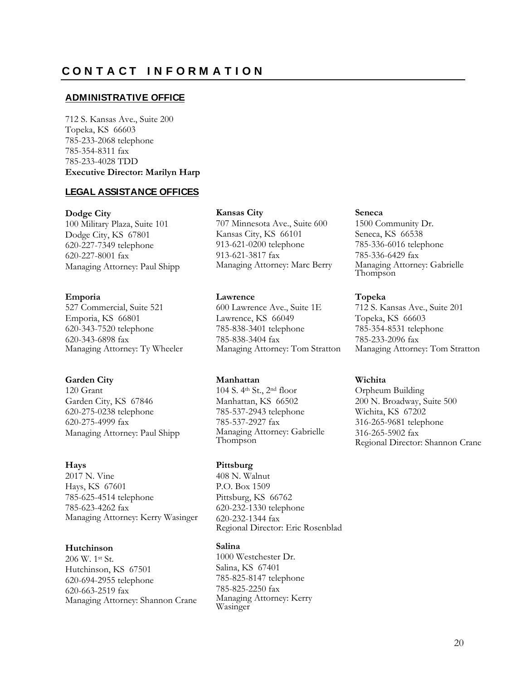### **ADMINISTRATIVE OFFICE**

712 S. Kansas Ave., Suite 200 Topeka, KS 66603 785-233-2068 telephone 785-354-8311 fax 785-233-4028 TDD **Executive Director: Marilyn Harp**

### **LEGAL ASSISTANCE OFFICES**

#### **Dodge City**

100 Military Plaza, Suite 101 Dodge City, KS 67801 620-227-7349 telephone 620-227-8001 fax Managing Attorney: Paul Shipp

### **Emporia**

527 Commercial, Suite 521 Emporia, KS 66801 620-343-7520 telephone 620-343-6898 fax Managing Attorney: Ty Wheeler

### **Garden City**

120 Grant Garden City, KS 67846 620-275-0238 telephone 620-275-4999 fax Managing Attorney: Paul Shipp

### **Hays**

2017 N. Vine Hays, KS 67601 785-625-4514 telephone 785-623-4262 fax Managing Attorney: Kerry Wasinger

### **Hutchinson**

206 W. 1st St. Hutchinson, KS 67501 620-694-2955 telephone 620-663-2519 fax Managing Attorney: Shannon Crane

#### **Kansas City**

707 Minnesota Ave., Suite 600 Kansas City, KS 66101 913-621-0200 telephone 913-621-3817 fax Managing Attorney: Marc Berry

### **Lawrence**

600 Lawrence Ave., Suite 1E Lawrence, KS 66049 785-838-3401 telephone 785-838-3404 fax Managing Attorney: Tom Stratton

### **Manhattan**

104 S. 4th St., 2nd floor Manhattan, KS 66502 785-537-2943 telephone 785-537-2927 fax Managing Attorney: Gabrielle Thompson

### **Pittsburg**

408 N. Walnut P.O. Box 1509 Pittsburg, KS 66762 620-232-1330 telephone 620-232-1344 fax Regional Director: Eric Rosenblad

### **Salina**

1000 Westchester Dr. Salina, KS 67401 785-825-8147 telephone 785-825-2250 fax Managing Attorney: Kerry Wasinger

### **Seneca**

1500 Community Dr. Seneca, KS 66538 785-336-6016 telephone 785-336-6429 fax Managing Attorney: Gabrielle Thompson

### **Topeka**

712 S. Kansas Ave., Suite 201 Topeka, KS 66603 785-354-8531 telephone 785-233-2096 fax Managing Attorney: Tom Stratton

### **Wichita**

Orpheum Building 200 N. Broadway, Suite 500 Wichita, KS 67202 316-265-9681 telephone 316-265-5902 fax Regional Director: Shannon Crane